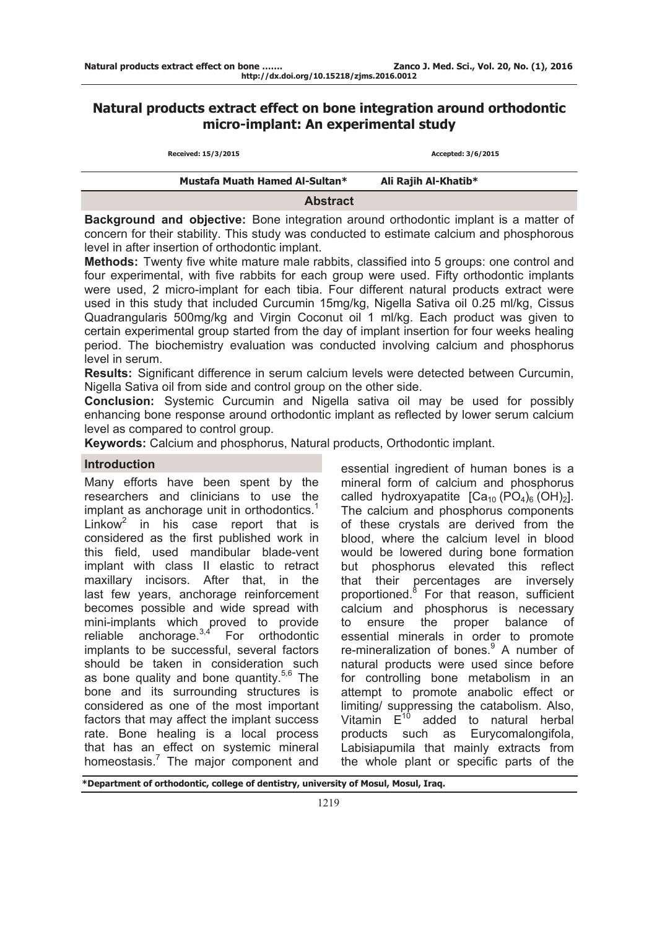# **Natural products extract effect on bone integration around orthodontic micro-implant: An experimental study**

| Received: 15/3/2015            | Accepted: 3/6/2015   |  |
|--------------------------------|----------------------|--|
| Mustafa Muath Hamed Al-Sultan* | Ali Rajih Al-Khatib* |  |
| <b>Abstract</b>                |                      |  |

**Background and objective:** Bone integration around orthodontic implant is a matter of concern for their stability. This study was conducted to estimate calcium and phosphorous level in after insertion of orthodontic implant.

**Methods:** Twenty five white mature male rabbits, classified into 5 groups: one control and four experimental, with five rabbits for each group were used. Fifty orthodontic implants were used, 2 micro-implant for each tibia. Four different natural products extract were used in this study that included Curcumin 15mg/kg, Nigella Sativa oil 0.25 ml/kg, Cissus Quadrangularis 500mg/kg and Virgin Coconut oil 1 ml/kg. Each product was given to certain experimental group started from the day of implant insertion for four weeks healing period. The biochemistry evaluation was conducted involving calcium and phosphorus level in serum.

**Results:** Significant difference in serum calcium levels were detected between Curcumin, Nigella Sativa oil from side and control group on the other side.

**Conclusion:** Systemic Curcumin and Nigella sativa oil may be used for possibly enhancing bone response around orthodontic implant as reflected by lower serum calcium level as compared to control group.

**Keywords:** Calcium and phosphorus, Natural products, Orthodontic implant.

## **Introduction**

Many efforts have been spent by the researchers and clinicians to use the implant as anchorage unit in orthodontics.<sup>1</sup> Linkow<sup>2</sup> in his case report that is considered as the first published work in this field, used mandibular blade-vent implant with class II elastic to retract maxillary incisors. After that, in the last few years, anchorage reinforcement becomes possible and wide spread with mini-implants which proved to provide reliable anchorage. $3,4$  For orthodontic implants to be successful, several factors should be taken in consideration such as bone quality and bone quantity.<sup>5,6</sup> The bone and its surrounding structures is considered as one of the most important factors that may affect the implant success rate. Bone healing is a local process that has an effect on systemic mineral homeostasis.<sup>7</sup> The major component and essential ingredient of human bones is a mineral form of calcium and phosphorus called hydroxyapatite  $[Ca_{10} (PO_4)_6 (OH)_2]$ . The calcium and phosphorus components of these crystals are derived from the blood, where the calcium level in blood would be lowered during bone formation but phosphorus elevated this reflect that their percentages are inversely proportioned.<sup>8</sup> For that reason, sufficient calcium and phosphorus is necessary to ensure the proper balance of essential minerals in order to promote re-mineralization of bones.<sup>9</sup> A number of natural products were used since before for controlling bone metabolism in an attempt to promote anabolic effect or limiting/ suppressing the catabolism. Also, Vitamin  $E^{10}$  added to natural herbal products such as Eurycomalongifola, Labisiapumila that mainly extracts from the whole plant or specific parts of the

**\*Department of orthodontic, college of dentistry, university of Mosul, Mosul, Iraq.**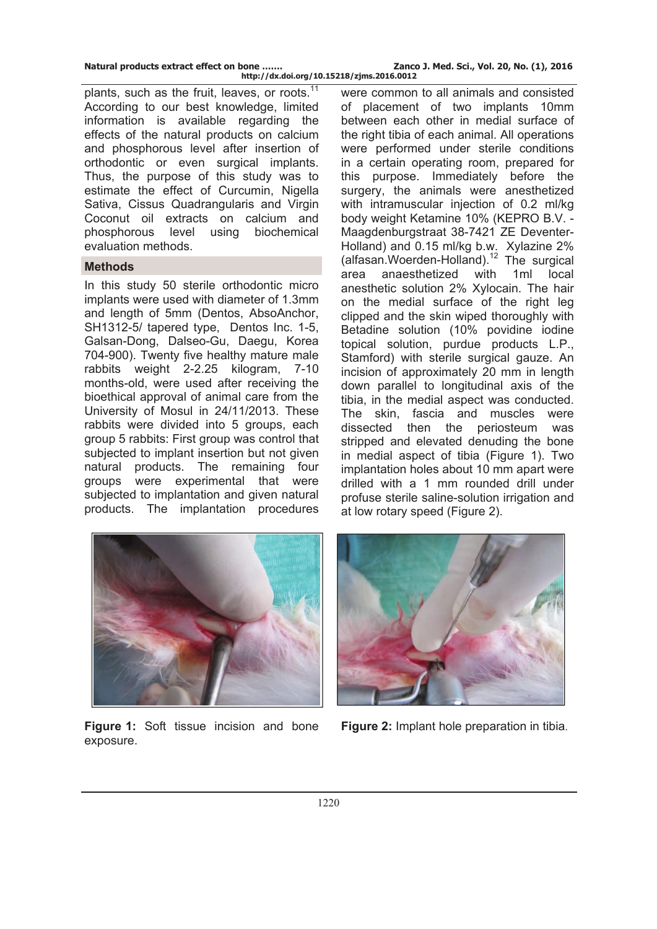**http://dx.doi.org/10.15218/zjms.2016.0012**

plants, such as the fruit, leaves, or roots. $11$ According to our best knowledge, limited information is available regarding the effects of the natural products on calcium and phosphorous level after insertion of orthodontic or even surgical implants. Thus, the purpose of this study was to estimate the effect of Curcumin, Nigella Sativa, Cissus Quadrangularis and Virgin Coconut oil extracts on calcium and phosphorous level using biochemical evaluation methods.

## **Methods**

In this study 50 sterile orthodontic micro implants were used with diameter of 1.3mm and length of 5mm (Dentos, AbsoAnchor, SH1312-5/ tapered type, Dentos Inc. 1-5, Galsan-Dong, Dalseo-Gu, Daegu, Korea 704-900). Twenty five healthy mature male rabbits weight 2-2.25 kilogram, 7-10 months-old, were used after receiving the bioethical approval of animal care from the University of Mosul in 24/11/2013. These rabbits were divided into 5 groups, each group 5 rabbits: First group was control that subjected to implant insertion but not given natural products. The remaining four groups were experimental that were subjected to implantation and given natural products. The implantation procedures

were common to all animals and consisted of placement of two implants 10mm between each other in medial surface of the right tibia of each animal. All operations were performed under sterile conditions in a certain operating room, prepared for this purpose. Immediately before the surgery, the animals were anesthetized with intramuscular injection of 0.2 ml/kg body weight Ketamine 10% (KEPRO B.V. - Maagdenburgstraat 38-7421 ZE Deventer-Holland) and 0.15 ml/kg b.w. Xylazine 2% (alfasan.Woerden-Holland).12 The surgical area anaesthetized with 1ml local anesthetic solution 2% Xylocain. The hair on the medial surface of the right leg clipped and the skin wiped thoroughly with Betadine solution (10% povidine iodine topical solution, purdue products L.P., Stamford) with sterile surgical gauze. An incision of approximately 20 mm in length down parallel to longitudinal axis of the tibia, in the medial aspect was conducted. The skin, fascia and muscles were dissected then the periosteum was stripped and elevated denuding the bone in medial aspect of tibia (Figure 1). Two implantation holes about 10 mm apart were drilled with a 1 mm rounded drill under profuse sterile saline-solution irrigation and at low rotary speed (Figure 2).



**Figure 1:** Soft tissue incision and bone exposure.



**Figure 2:** Implant hole preparation in tibia.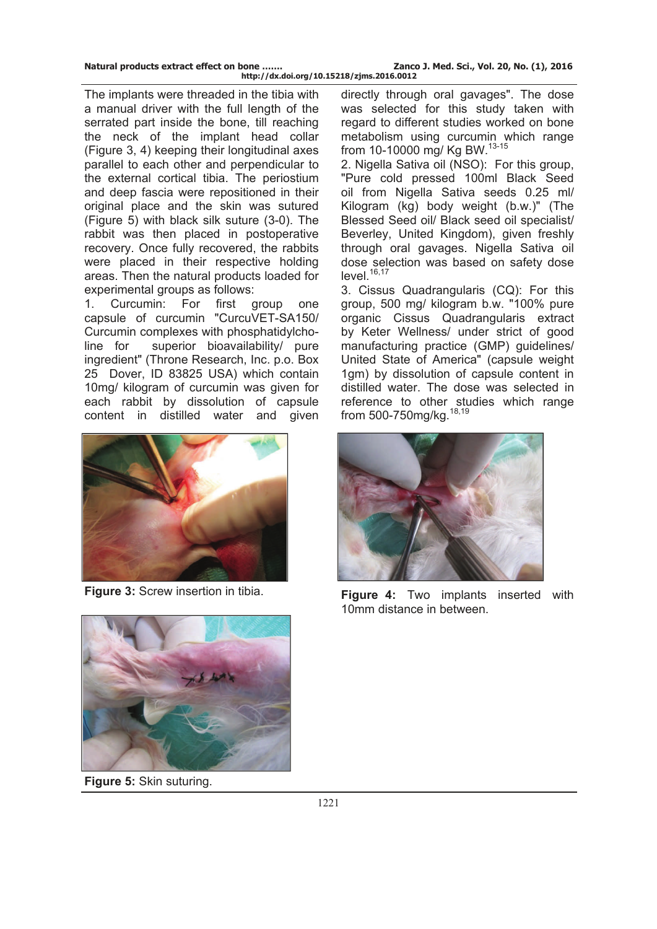The implants were threaded in the tibia with a manual driver with the full length of the serrated part inside the bone, till reaching the neck of the implant head collar (Figure 3, 4) keeping their longitudinal axes parallel to each other and perpendicular to the external cortical tibia. The periostium and deep fascia were repositioned in their original place and the skin was sutured (Figure 5) with black silk suture (3-0). The rabbit was then placed in postoperative recovery. Once fully recovered, the rabbits were placed in their respective holding areas. Then the natural products loaded for experimental groups as follows:

1. Curcumin: For first group one capsule of curcumin "CurcuVET-SA150/ Curcumin complexes with phosphatidylcholine for superior bioavailability/ pure ingredient" (Throne Research, Inc. p.o. Box 25 Dover, ID 83825 USA) which contain 10mg/ kilogram of curcumin was given for each rabbit by dissolution of capsule content in distilled water and given





**Figure 5:** Skin suturing.

directly through oral gavages". The dose was selected for this study taken with regard to different studies worked on bone metabolism using curcumin which range from 10-10000 mg/ Kg BW.<sup>13-15</sup>

2. Nigella Sativa oil (NSO): For this group, "Pure cold pressed 100ml Black Seed oil from Nigella Sativa seeds 0.25 ml/ Kilogram (kg) body weight (b.w.)" (The Blessed Seed oil/ Black seed oil specialist/ Beverley, United Kingdom), given freshly through oral gavages. Nigella Sativa oil dose selection was based on safety dose  $level.<sup>16,17</sup>$ 

3. Cissus Quadrangularis (CQ): For this group, 500 mg/ kilogram b.w. "100% pure organic Cissus Quadrangularis extract by Keter Wellness/ under strict of good manufacturing practice (GMP) guidelines/ United State of America" (capsule weight 1gm) by dissolution of capsule content in distilled water. The dose was selected in reference to other studies which range from 500-750mg/kg.<sup>18,19</sup>



**Figure 3:** Screw insertion in tibia. **Figure 4:** Two implants inserted with 10mm distance in between.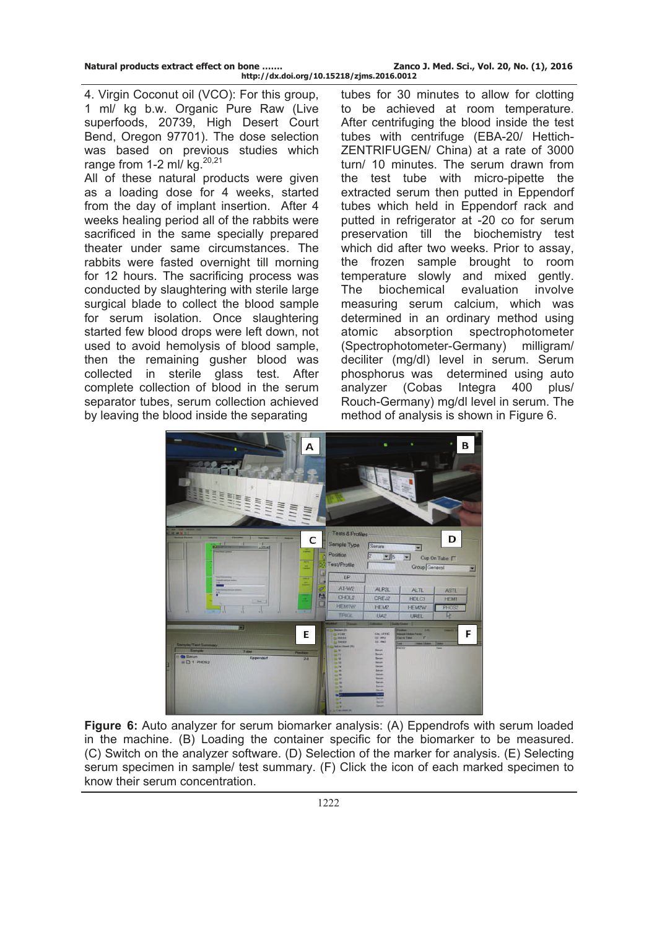4. Virgin Coconut oil (VCO): For this group, 1 ml/ kg b.w. Organic Pure Raw (Live superfoods, 20739, High Desert Court Bend, Oregon 97701). The dose selection was based on previous studies which range from 1-2 ml/ kg.<sup>20,21</sup>

All of these natural products were given as a loading dose for 4 weeks, started from the day of implant insertion. After 4 weeks healing period all of the rabbits were sacrificed in the same specially prepared theater under same circumstances. The rabbits were fasted overnight till morning for 12 hours. The sacrificing process was conducted by slaughtering with sterile large surgical blade to collect the blood sample for serum isolation. Once slaughtering started few blood drops were left down, not used to avoid hemolysis of blood sample, then the remaining gusher blood was collected in sterile glass test. After complete collection of blood in the serum separator tubes, serum collection achieved by leaving the blood inside the separating

tubes for 30 minutes to allow for clotting to be achieved at room temperature. After centrifuging the blood inside the test tubes with centrifuge (EBA-20/ Hettich-ZENTRIFUGEN/ China) at a rate of 3000 turn/ 10 minutes. The serum drawn from the test tube with micro-pipette the extracted serum then putted in Eppendorf tubes which held in Eppendorf rack and putted in refrigerator at -20 co for serum preservation till the biochemistry test which did after two weeks. Prior to assay, the frozen sample brought to room temperature slowly and mixed gently. The biochemical evaluation involve measuring serum calcium, which was determined in an ordinary method using atomic absorption spectrophotometer (Spectrophotometer-Germany) milligram/ deciliter (mg/dl) level in serum. Serum phosphorus was determined using auto analyzer (Cobas Integra 400 plus/ Rouch-Germany) mg/dl level in serum. The method of analysis is shown in Figure 6.



**Figure 6:** Auto analyzer for serum biomarker analysis: (A) Eppendrofs with serum loaded in the machine. (B) Loading the container specific for the biomarker to be measured. (C) Switch on the analyzer software. (D) Selection of the marker for analysis. (E) Selecting serum specimen in sample/ test summary. (F) Click the icon of each marked specimen to know their serum concentration.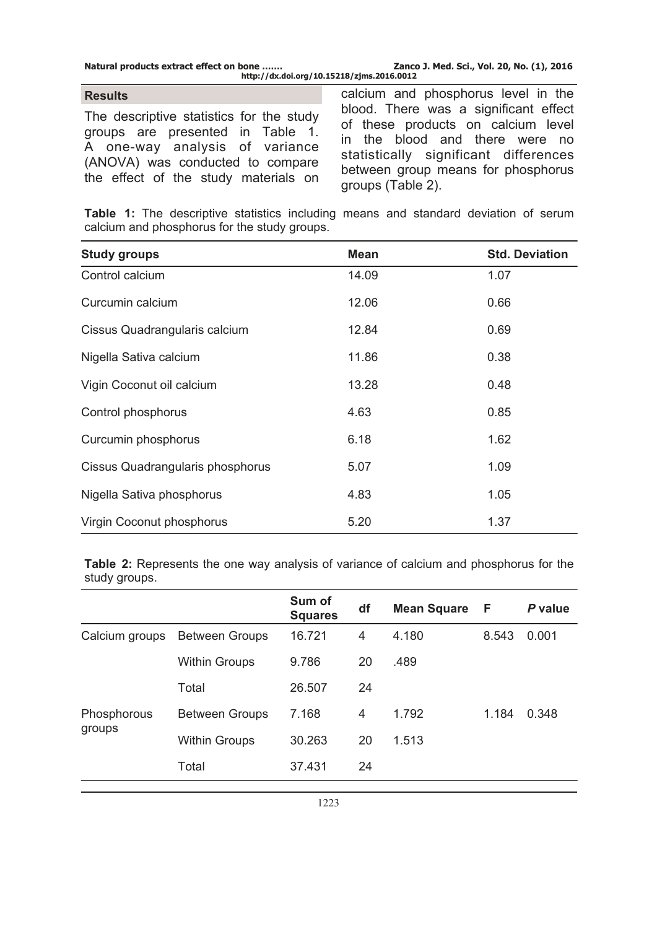#### **Results**

The descriptive statistics for the study groups are presented in Table 1. A one-way analysis of variance (ANOVA) was conducted to compare the effect of the study materials on

calcium and phosphorus level in the blood. There was a significant effect of these products on calcium level in the blood and there were no statistically significant differences between group means for phosphorus groups (Table 2).

**Table 1:** The descriptive statistics including means and standard deviation of serum calcium and phosphorus for the study groups.

| <b>Study groups</b>              | <b>Mean</b> | <b>Std. Deviation</b> |
|----------------------------------|-------------|-----------------------|
| Control calcium                  | 14.09       | 1.07                  |
| Curcumin calcium                 | 12.06       | 0.66                  |
| Cissus Quadrangularis calcium    | 12.84       | 0.69                  |
| Nigella Sativa calcium           | 11.86       | 0.38                  |
| Vigin Coconut oil calcium        | 13.28       | 0.48                  |
| Control phosphorus               | 4.63        | 0.85                  |
| Curcumin phosphorus              | 6.18        | 1.62                  |
| Cissus Quadrangularis phosphorus | 5.07        | 1.09                  |
| Nigella Sativa phosphorus        | 4.83        | 1.05                  |
| Virgin Coconut phosphorus        | 5.20        | 1.37                  |

**Table 2:** Represents the one way analysis of variance of calcium and phosphorus for the study groups.

|                       |                       | Sum of<br><b>Squares</b> | df | <b>Mean Square</b> | F     | P value |
|-----------------------|-----------------------|--------------------------|----|--------------------|-------|---------|
| Calcium groups        | <b>Between Groups</b> | 16.721                   | 4  | 4.180              | 8.543 | 0.001   |
|                       | <b>Within Groups</b>  | 9.786                    | 20 | .489               |       |         |
|                       | Total                 | 26.507                   | 24 |                    |       |         |
| Phosphorous<br>groups | <b>Between Groups</b> | 7.168                    | 4  | 1.792              | 1.184 | 0.348   |
|                       | <b>Within Groups</b>  | 30.263                   | 20 | 1.513              |       |         |
|                       | Total                 | 37.431                   | 24 |                    |       |         |
|                       |                       |                          |    |                    |       |         |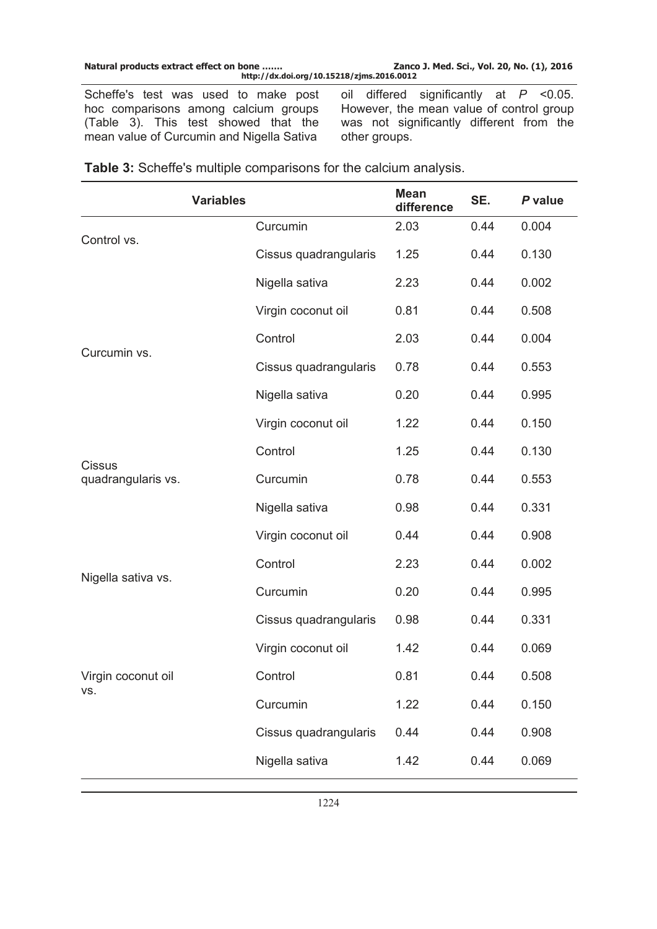| Zanco J. Med. Sci., Vol. 20, No. (1), 2016 |
|--------------------------------------------|
|                                            |

Scheffe's test was used to make post hoc comparisons among calcium groups (Table 3). This test showed that the mean value of Curcumin and Nigella Sativa

oil differed significantly at *P* <0.05. However, the mean value of control group was not significantly different from the other groups.

|                                                 | <b>Variables</b> |                       | <b>Mean</b><br>difference | SE.  | P value |
|-------------------------------------------------|------------------|-----------------------|---------------------------|------|---------|
| Control vs.                                     |                  | Curcumin              | 2.03                      | 0.44 | 0.004   |
|                                                 |                  | Cissus quadrangularis | 1.25                      | 0.44 | 0.130   |
|                                                 |                  | Nigella sativa        | 2.23                      | 0.44 | 0.002   |
| Curcumin vs.                                    |                  | Virgin coconut oil    | 0.81                      | 0.44 | 0.508   |
|                                                 |                  | Control               | 2.03                      | 0.44 | 0.004   |
|                                                 |                  | Cissus quadrangularis | 0.78                      | 0.44 | 0.553   |
|                                                 |                  | Nigella sativa        | 0.20                      | 0.44 | 0.995   |
|                                                 |                  | Virgin coconut oil    | 1.22                      | 0.44 | 0.150   |
| <b>Cissus</b><br>quadrangularis vs.             |                  | Control               | 1.25                      | 0.44 | 0.130   |
|                                                 |                  | Curcumin              | 0.78                      | 0.44 | 0.553   |
|                                                 |                  | Nigella sativa        | 0.98                      | 0.44 | 0.331   |
| Nigella sativa vs.<br>Virgin coconut oil<br>VS. |                  | Virgin coconut oil    | 0.44                      | 0.44 | 0.908   |
|                                                 |                  | Control               | 2.23                      | 0.44 | 0.002   |
|                                                 |                  | Curcumin              | 0.20                      | 0.44 | 0.995   |
|                                                 |                  | Cissus quadrangularis | 0.98                      | 0.44 | 0.331   |
|                                                 |                  | Virgin coconut oil    | 1.42                      | 0.44 | 0.069   |
|                                                 |                  | Control               | 0.81                      | 0.44 | 0.508   |
|                                                 |                  | Curcumin              | 1.22                      | 0.44 | 0.150   |
|                                                 |                  | Cissus quadrangularis | 0.44                      | 0.44 | 0.908   |
|                                                 |                  | Nigella sativa        | 1.42                      | 0.44 | 0.069   |

**Table 3:** Scheffe's multiple comparisons for the calcium analysis.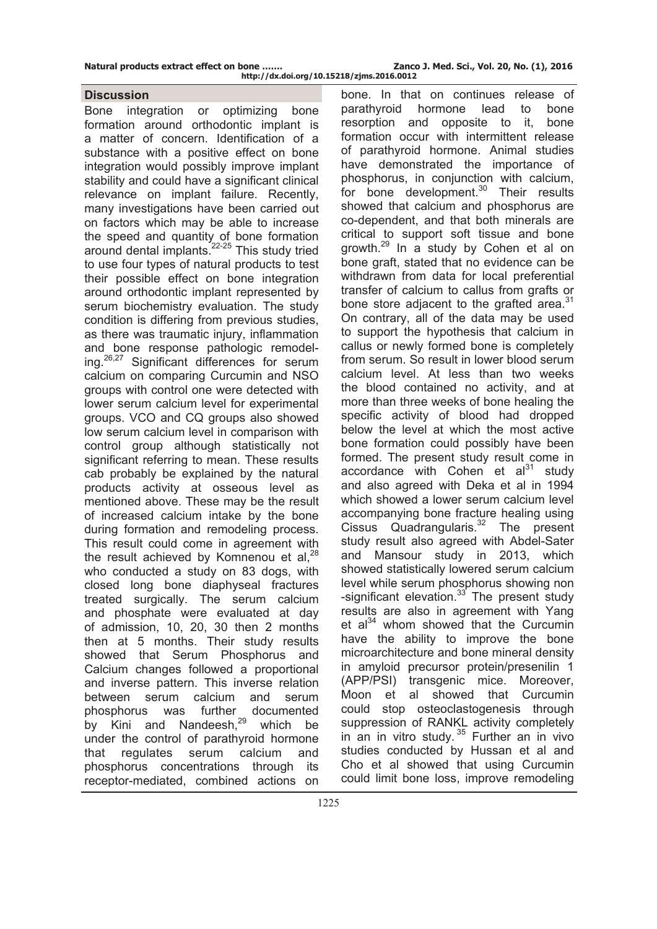**Natural products extract effect on bone ……. Zanco J. Med. Sci., Vol. 20, No. (1), 2016** 

## **Discussion**

Bone integration or optimizing bone formation around orthodontic implant is a matter of concern. Identification of a substance with a positive effect on bone integration would possibly improve implant stability and could have a significant clinical relevance on implant failure. Recently, many investigations have been carried out on factors which may be able to increase the speed and quantity of bone formation around dental implants.22-25 This study tried to use four types of natural products to test their possible effect on bone integration around orthodontic implant represented by serum biochemistry evaluation. The study condition is differing from previous studies, as there was traumatic injury, inflammation and bone response pathologic remodeling. $26,27$  Significant differences for serum calcium on comparing Curcumin and NSO groups with control one were detected with lower serum calcium level for experimental groups. VCO and CQ groups also showed low serum calcium level in comparison with control group although statistically not significant referring to mean. These results cab probably be explained by the natural products activity at osseous level as mentioned above. These may be the result of increased calcium intake by the bone during formation and remodeling process. This result could come in agreement with the result achieved by Komnenou et al. $^{28}$ who conducted a study on 83 dogs, with closed long bone diaphyseal fractures treated surgically. The serum calcium and phosphate were evaluated at day of admission, 10, 20, 30 then 2 months then at 5 months. Their study results showed that Serum Phosphorus and Calcium changes followed a proportional and inverse pattern. This inverse relation between serum calcium and serum phosphorus was further documented by Kini and Nandeesh,<sup>29</sup> which be under the control of parathyroid hormone that regulates serum calcium and phosphorus concentrations through its receptor-mediated, combined actions on

bone. In that on continues release of parathyroid hormone lead to bone resorption and opposite to it, bone formation occur with intermittent release of parathyroid hormone. Animal studies have demonstrated the importance of phosphorus, in conjunction with calcium, for bone development.<sup>30</sup> Their results showed that calcium and phosphorus are co-dependent, and that both minerals are critical to support soft tissue and bone growth.29 In a study by Cohen et al on bone graft, stated that no evidence can be withdrawn from data for local preferential transfer of calcium to callus from grafts or bone store adjacent to the grafted area.<sup>31</sup> On contrary, all of the data may be used to support the hypothesis that calcium in callus or newly formed bone is completely from serum. So result in lower blood serum calcium level. At less than two weeks the blood contained no activity, and at more than three weeks of bone healing the specific activity of blood had dropped below the level at which the most active bone formation could possibly have been formed. The present study result come in accordance with Cohen et  $al^{31}$  study and also agreed with Deka et al in 1994 which showed a lower serum calcium level accompanying bone fracture healing using  $C$ issus Quadrangularis. $32$  The present study result also agreed with Abdel-Sater and Mansour study in 2013, which showed statistically lowered serum calcium level while serum phosphorus showing non -significant elevation. $33$  The present study results are also in agreement with Yang et  $a^{34}$  whom showed that the Curcumin have the ability to improve the bone microarchitecture and bone mineral density in amyloid precursor protein/presenilin 1 (APP/PSI) transgenic mice. Moreover, Moon et al showed that Curcumin could stop osteoclastogenesis through suppression of RANKL activity completely in an in vitro study. 35 Further an in vivo studies conducted by Hussan et al and Cho et al showed that using Curcumin could limit bone loss, improve remodeling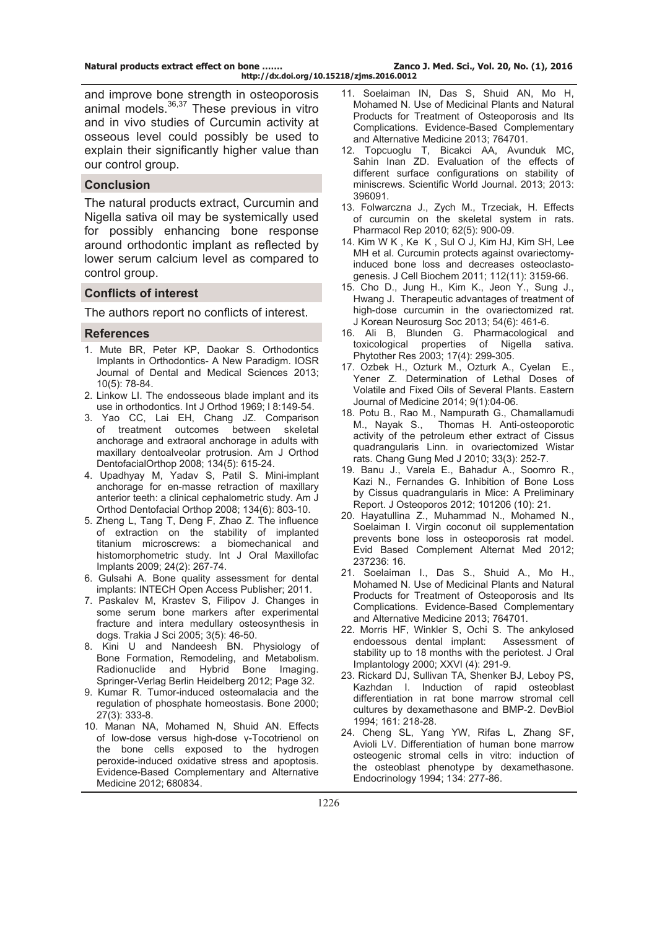and improve bone strength in osteoporosis animal models.<sup>36,37</sup> These previous in vitro and in vivo studies of Curcumin activity at osseous level could possibly be used to explain their significantly higher value than our control group.

## **Conclusion**

The natural products extract, Curcumin and Nigella sativa oil may be systemically used for possibly enhancing bone response around orthodontic implant as reflected by lower serum calcium level as compared to control group.

#### **Conflicts of interest**

The authors report no conflicts of interest.

#### **References**

- 1. Mute BR, Peter KP, Daokar S. Orthodontics Implants in Orthodontics- A New Paradigm. IOSR Journal of Dental and Medical Sciences 2013; 10(5): 78-84.
- 2. Linkow LI. The endosseous blade implant and its use in orthodontics. Int J Orthod 1969; l 8:149-54.
- 3. Yao CC, Lai EH, Chang JZ. Comparison of treatment outcomes between skeletal anchorage and extraoral anchorage in adults with maxillary dentoalveolar protrusion. Am J Orthod DentofacialOrthop 2008; 134(5): 615-24.
- 4. Upadhyay M, Yadav S, Patil S. Mini-implant anchorage for en-masse retraction of maxillary anterior teeth: a clinical cephalometric study. Am J Orthod Dentofacial Orthop 2008; 134(6): 803-10.
- 5. Zheng L, Tang T, Deng F, Zhao Z. The influence of extraction on the stability of implanted titanium microscrews: a biomechanical and histomorphometric study. Int J Oral Maxillofac Implants 2009; 24(2): 267-74.
- 6. Gulsahi A. Bone quality assessment for dental implants: INTECH Open Access Publisher; 2011.
- 7. Paskalev M, Krastev S, Filipov J. Changes in some serum bone markers after experimental fracture and intera medullary osteosynthesis in dogs. Trakia J Sci 2005; 3(5): 46-50.
- 8. Kini U and Nandeesh BN. Physiology of Bone Formation, Remodeling, and Metabolism. Radionuclide and Hybrid Bone Imaging. Springer-Verlag Berlin Heidelberg 2012; Page 32.
- 9. Kumar R. Tumor-induced osteomalacia and the regulation of phosphate homeostasis. Bone 2000; 27(3): 333-8.
- 10. Manan NA, Mohamed N, Shuid AN. Effects of low-dose versus high-dose γ-Tocotrienol on the bone cells exposed to the hydrogen peroxide-induced oxidative stress and apoptosis. Evidence-Based Complementary and Alternative Medicine 2012; 680834.
- 11. Soelaiman IN, Das S, Shuid AN, Mo H, Mohamed N. Use of Medicinal Plants and Natural Products for Treatment of Osteoporosis and Its Complications. Evidence-Based Complementary and Alternative Medicine 2013; 764701.
- 12. [Topcuoglu T](http://www.ncbi.nlm.nih.gov/pubmed/?term=Topcuoglu%20T%5BAuthor%5D&cauthor=true&cauthor_uid=23935417), [Bicakci AA](http://www.ncbi.nlm.nih.gov/pubmed/?term=Bicakci%20AA%5BAuthor%5D&cauthor=true&cauthor_uid=23935417), [Avunduk MC](http://www.ncbi.nlm.nih.gov/pubmed/?term=Avunduk%20MC%5BAuthor%5D&cauthor=true&cauthor_uid=23935417), [Sahin Inan ZD](http://www.ncbi.nlm.nih.gov/pubmed/?term=Sahin%20Inan%20ZD%5BAuthor%5D&cauthor=true&cauthor_uid=23935417). Evaluation of the effects of different surface configurations on stability of miniscrews. [Scientific World Journal.](http://www.ncbi.nlm.nih.gov/pubmed/?term=Evaluation+of+the+Effects+of+Different+Surface+Configurations+on+Stability+of+Miniscrews) 2013; 2013: 396091.
- 13. Folwarczna J., Zych M., Trzeciak, H. Effects of curcumin on the skeletal system in rats. Pharmacol Rep 2010; 62(5): 900-09.
- 14. Kim W K , Ke K , Sul O J, Kim HJ, Kim SH, Lee MH et al. Curcumin protects against ovariectomyinduced bone loss and decreases osteoclastogenesis. J Cell Biochem 2011; 112(11): 3159-66.
- 15. Cho D., Jung H., Kim K., Jeon Y., Sung J., Hwang J. Therapeutic advantages of treatment of high-dose curcumin in the ovariectomized rat. J Korean Neurosurg Soc 2013; 54(6): 461-6.
- 16. [Ali B](http://www.ncbi.nlm.nih.gov/pubmed?term=Ali%20BH%5BAuthor%5D&cauthor=true&cauthor_uid=12722128), [Blunden G](http://www.ncbi.nlm.nih.gov/pubmed?term=Blunden%20G%5BAuthor%5D&cauthor=true&cauthor_uid=12722128). Pharmacological and toxicological properties of Nigella sativa. [Phytother Res](http://www.ncbi.nlm.nih.gov/pubmed/?term=8.%09Ali+BH%2C+Blunden+G.+Pharmacological+and+toxicological+properties+of+Nigella+sativa.+Phytother+Res.+(2003)) 2003; 17(4): 299-305.
- 17. Ozbek H., Ozturk M., Ozturk A., Cyelan E., Yener Z. Determination of Lethal Doses of Volatile and Fixed Oils of Several Plants. Eastern Journal of Medicine 2014; 9(1):04-06.
- 18. Potu B., Rao M., Nampurath G., Chamallamudi M., Nayak S., Thomas H. Anti-osteoporotic activity of the petroleum ether extract of Cissus quadrangularis Linn. in ovariectomized Wistar rats. Chang Gung Med J 2010; 33(3): 252-7.
- 19. Banu J., Varela E., Bahadur A., Soomro R., Kazi N., Fernandes G. Inhibition of Bone Loss by Cissus quadrangularis in Mice: A Preliminary Report. J Osteoporos 2012; 101206 (10): 21.
- 20. Hayatullina Z., Muhammad N., Mohamed N., Soelaiman I. Virgin coconut oil supplementation prevents bone loss in osteoporosis rat model. Evid Based Complement Alternat Med 2012; 237236: 16.
- 21. Soelaiman I., Das S., Shuid A., Mo H., Mohamed N. Use of Medicinal Plants and Natural Products for Treatment of Osteoporosis and Its Complications. Evidence-Based Complementary and Alternative Medicine 2013; 764701.
- 22. Morris HF, Winkler S, Ochi S. The ankylosed endoessous dental implant: Assessment of stability up to 18 months with the periotest. J Oral Implantology 2000; XXVI (4): 291-9.
- 23. Rickard DJ, Sullivan TA, Shenker BJ, Leboy PS, Kazhdan I. Induction of rapid osteoblast differentiation in rat bone marrow stromal cell cultures by dexamethasone and BMP-2. DevBiol 1994; 161: 218-28.
- 24. Cheng SL, Yang YW, Rifas L, Zhang SF, Avioli LV. Differentiation of human bone marrow osteogenic stromal cells in vitro: induction of the osteoblast phenotype by dexamethasone. Endocrinology 1994; 134: 277-86.